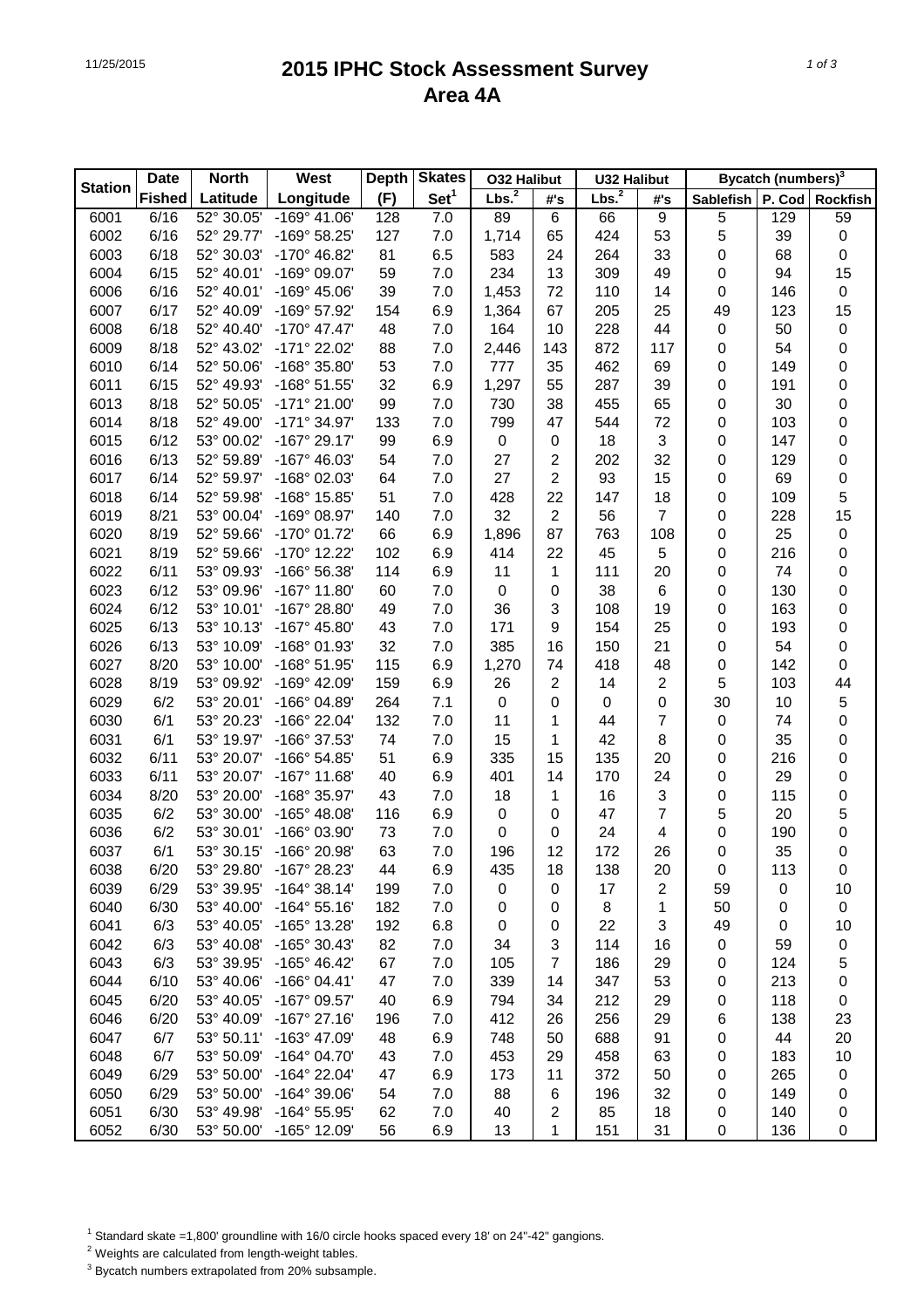## 11/25/2015 **2015 IPHC Stock Assessment Survey Area 4A**

|                | <b>Date</b>   | <b>North</b> | West                  | <b>Depth</b> | <b>Skates</b>    | <b>032 Halibut</b> |                | <b>U32 Halibut</b> |                |                  | <b>Bycatch (numbers)</b> <sup>3</sup> |                     |
|----------------|---------------|--------------|-----------------------|--------------|------------------|--------------------|----------------|--------------------|----------------|------------------|---------------------------------------|---------------------|
| <b>Station</b> | <b>Fished</b> | Latitude     | Longitude             | (F)          | Set <sup>1</sup> | Lbs. <sup>2</sup>  | #'s            | Lbs. <sup>2</sup>  | #'s            | <b>Sablefish</b> |                                       | P. Cod Rockfish     |
| 6001           | 6/16          | 52° 30.05'   | $-169^{\circ}$ 41.06' | 128          | 7.0              | 89                 | 6              | 66                 | 9              | 5                | 129                                   | 59                  |
| 6002           | 6/16          | 52° 29.77'   | -169° 58.25'          | 127          | 7.0              | 1,714              | 65             | 424                | 53             | 5                | 39                                    | $\pmb{0}$           |
| 6003           | 6/18          | 52° 30.03'   | -170° 46.82'          | 81           | 6.5              | 583                | 24             | 264                | 33             | 0                | 68                                    | 0                   |
| 6004           | 6/15          | 52° 40.01'   | -169° 09.07'          | 59           | 7.0              | 234                | 13             | 309                | 49             | 0                | 94                                    | 15                  |
| 6006           | 6/16          | 52° 40.01'   | -169° 45.06'          | 39           | 7.0              | 1,453              | 72             | 110                | 14             | 0                | 146                                   | $\pmb{0}$           |
| 6007           | 6/17          | 52° 40.09'   | -169° 57.92'          | 154          | 6.9              | 1,364              | 67             | 205                | 25             | 49               | 123                                   | 15                  |
| 6008           | 6/18          | 52° 40.40'   | $-170^{\circ}$ 47.47  | 48           | 7.0              | 164                | 10             | 228                | 44             | 0                | 50                                    | $\pmb{0}$           |
| 6009           | 8/18          | 52° 43.02'   | -171° 22.02'          | 88           | 7.0              | 2,446              | 143            | 872                | 117            | 0                | 54                                    | 0                   |
| 6010           | 6/14          | 52° 50.06'   | $-168^{\circ}$ 35.80  | 53           | 7.0              | 777                | 35             | 462                | 69             | 0                | 149                                   | 0                   |
| 6011           | 6/15          | 52° 49.93'   | $-168°51.55'$         | 32           | 6.9              | 1,297              | 55             | 287                | 39             | 0                | 191                                   | 0                   |
| 6013           | 8/18          | 52° 50.05'   | $-171^{\circ} 21.00'$ | 99           | 7.0              | 730                | 38             | 455                | 65             | 0                | 30                                    | 0                   |
| 6014           | 8/18          | 52° 49.00'   | $-171°34.97'$         | 133          | 7.0              | 799                | 47             | 544                | 72             | 0                | 103                                   | 0                   |
| 6015           | 6/12          | 53° 00.02'   | $-167^{\circ}$ 29.17' | 99           | 6.9              | $\boldsymbol{0}$   | $\mathbf 0$    | 18                 | 3              | 0                | 147                                   | 0                   |
| 6016           | 6/13          | 52° 59.89'   | $-167^{\circ}$ 46.03' | 54           | 7.0              | 27                 | $\overline{c}$ | 202                | 32             | 0                | 129                                   | 0                   |
| 6017           | 6/14          | 52° 59.97'   | -168° 02.03'          | 64           | 7.0              | 27                 | $\overline{2}$ | 93                 | 15             | 0                | 69                                    | 0                   |
| 6018           | 6/14          | 52° 59.98'   | -168° 15.85'          | 51           | 7.0              | 428                | 22             | 147                | 18             | 0                | 109                                   | 5                   |
| 6019           | 8/21          | 53° 00.04'   | -169° 08.97'          | 140          | 7.0              | 32                 | $\overline{2}$ | 56                 | 7              | 0                | 228                                   | 15                  |
| 6020           | 8/19          | 52° 59.66'   | $-170^{\circ}$ 01.72  | 66           | 6.9              | 1,896              | 87             | 763                | 108            | 0                | 25                                    | $\pmb{0}$           |
| 6021           | 8/19          | 52° 59.66'   | -170° 12.22'          | 102          | 6.9              | 414                | 22             | 45                 | 5              | 0                | 216                                   | 0                   |
| 6022           | 6/11          | 53° 09.93'   | -166° 56.38'          | 114          | 6.9              | 11                 | 1              | 111                | 20             | 0                | 74                                    | 0                   |
| 6023           | 6/12          | 53° 09.96'   | $-167^\circ$ 11.80    | 60           | 7.0              | 0                  | $\mathbf 0$    | 38                 | 6              | 0                | 130                                   | 0                   |
| 6024           | 6/12          | 53° 10.01'   | -167° 28.80'          | 49           | 7.0              | 36                 | 3              | 108                | 19             | 0                | 163                                   | 0                   |
| 6025           | 6/13          | 53° 10.13'   | $-167^{\circ}$ 45.80  | 43           | 7.0              | 171                | 9              | 154                | 25             | 0                | 193                                   | 0                   |
| 6026           | 6/13          | 53° 10.09'   | -168° 01.93'          | 32           | 7.0              | 385                | 16             | 150                | 21             | 0                | 54                                    | 0                   |
| 6027           | 8/20          | 53° 10.00'   | -168° 51.95'          | 115          | 6.9              | 1,270              | 74             | 418                | 48             | 0                | 142                                   | 0                   |
| 6028           | 8/19          | 53° 09.92'   | $-169°$ 42.09         | 159          | 6.9              | 26                 | $\overline{2}$ | 14                 | $\overline{c}$ | 5                | 103                                   | 44                  |
| 6029           | 6/2           | 53° 20.01'   | $-166^{\circ}$ 04.89' | 264          | 7.1              | 0                  | 0              | $\boldsymbol{0}$   | 0              | 30               | 10                                    | $\mathbf 5$         |
| 6030           | 6/1           | 53° 20.23'   | -166° 22.04'          | 132          | 7.0              | 11                 | 1              | 44                 | 7              | 0                | 74                                    | 0                   |
| 6031           | 6/1           | 53° 19.97'   | -166° 37.53'          | 74           | 7.0              | 15                 | 1              | 42                 | 8              | 0                | 35                                    | 0                   |
| 6032           | 6/11          | 53° 20.07'   | -166° 54.85'          | 51           | 6.9              | 335                | 15             | 135                | 20             | 0                | 216                                   | 0                   |
| 6033           | 6/11          | 53° 20.07'   | $-167^\circ$ 11.68'   | 40           | 6.9              | 401                | 14             | 170                | 24             | 0                | 29                                    | 0                   |
| 6034           | 8/20          | 53° 20.00'   | -168° 35.97'          | 43           | 7.0              | 18                 | 1              | 16                 | 3              | 0                | 115                                   | 0                   |
| 6035           | 6/2           | 53° 30.00'   | $-165^{\circ}$ 48.08' | 116          | 6.9              | 0                  | 0              | 47                 | 7              | 5                | 20                                    | 5                   |
| 6036           | 6/2           | 53° 30.01'   | -166° 03.90'          | 73           | 7.0              | 0                  | 0              | 24                 | 4              | 0                | 190                                   | 0                   |
| 6037           | 6/1           | 53° 30.15'   | -166° 20.98'          | 63           | 7.0              | 196                | 12             | 172                | 26             | 0                | 35                                    | $\mathsf{O}\xspace$ |
| 6038           | 6/20          | 53° 29.80'   | -167° 28.23'          | 44           | 6.9              | 435                | 18             | 138                | 20             | 0                | 113                                   | 0                   |
| 6039           | 6/29          | 53° 39.95'   | $-164^{\circ}$ 38.14' | 199          | 7.0              | $\pmb{0}$          | 0              | 17                 | $\overline{2}$ | 59               | 0                                     | 10                  |
| 6040           | 6/30          | 53° 40.00'   | $-164^{\circ} 55.16'$ | 182          | 7.0              | 0                  | 0              | 8                  | 1              | 50               | 0                                     | $\pmb{0}$           |
| 6041           | 6/3           | 53° 40.05'   | -165° 13.28'          | 192          | 6.8              | $\boldsymbol{0}$   | 0              | 22                 | 3              | 49               | $\boldsymbol{0}$                      | 10                  |
| 6042           | 6/3           | 53° 40.08'   | -165° 30.43'          | 82           | 7.0              | 34                 | 3              | 114                | 16             | 0                | 59                                    | $\pmb{0}$           |
| 6043           | 6/3           | 53° 39.95'   | $-165^{\circ}$ 46.42' | 67           | 7.0              | 105                | $\overline{7}$ | 186                | 29             | 0                | 124                                   | 5                   |
| 6044           | 6/10          | 53° 40.06'   | $-166°04.41'$         | 47           | 7.0              | 339                | 14             | 347                | 53             | 0                | 213                                   | 0                   |
| 6045           | 6/20          | 53° 40.05'   | -167° 09.57'          | 40           | 6.9              | 794                | 34             | 212                | 29             | 0                | 118                                   | 0                   |
| 6046           | 6/20          | 53° 40.09'   | $-167^{\circ}$ 27.16  | 196          | 7.0              | 412                | 26             | 256                | 29             | 6                | 138                                   | 23                  |
| 6047           | 6/7           | 53° 50.11'   | -163° 47.09'          | 48           | 6.9              | 748                | 50             | 688                | 91             | 0                | 44                                    | 20                  |
| 6048           | 6/7           | 53° 50.09'   | $-164^{\circ}$ 04.70' | 43           | 7.0              | 453                | 29             | 458                | 63             | 0                | 183                                   | 10                  |
| 6049           | 6/29          | 53° 50.00'   | -164° 22.04'          | 47           | 6.9              | 173                | 11             | 372                | 50             | 0                | 265                                   | $\pmb{0}$           |
| 6050           | 6/29          | 53° 50.00'   | -164° 39.06'          | 54           | 7.0              | 88                 | 6              | 196                | 32             | 0                | 149                                   | 0                   |
| 6051           | 6/30          | 53° 49.98'   | -164° 55.95'          | 62           | 7.0              | 40                 | $\overline{c}$ | 85                 | 18             | 0                | 140                                   | 0                   |
| 6052           | 6/30          | 53° 50.00'   | -165° 12.09'          | 56           | 6.9              | 13                 | 1              | 151                | 31             | 0                | 136                                   | 0                   |

<sup>1</sup> Standard skate =1,800' groundline with 16/0 circle hooks spaced every 18' on 24"-42" gangions.

2 Weights are calculated from length-weight tables.

 $3$  Bycatch numbers extrapolated from 20% subsample.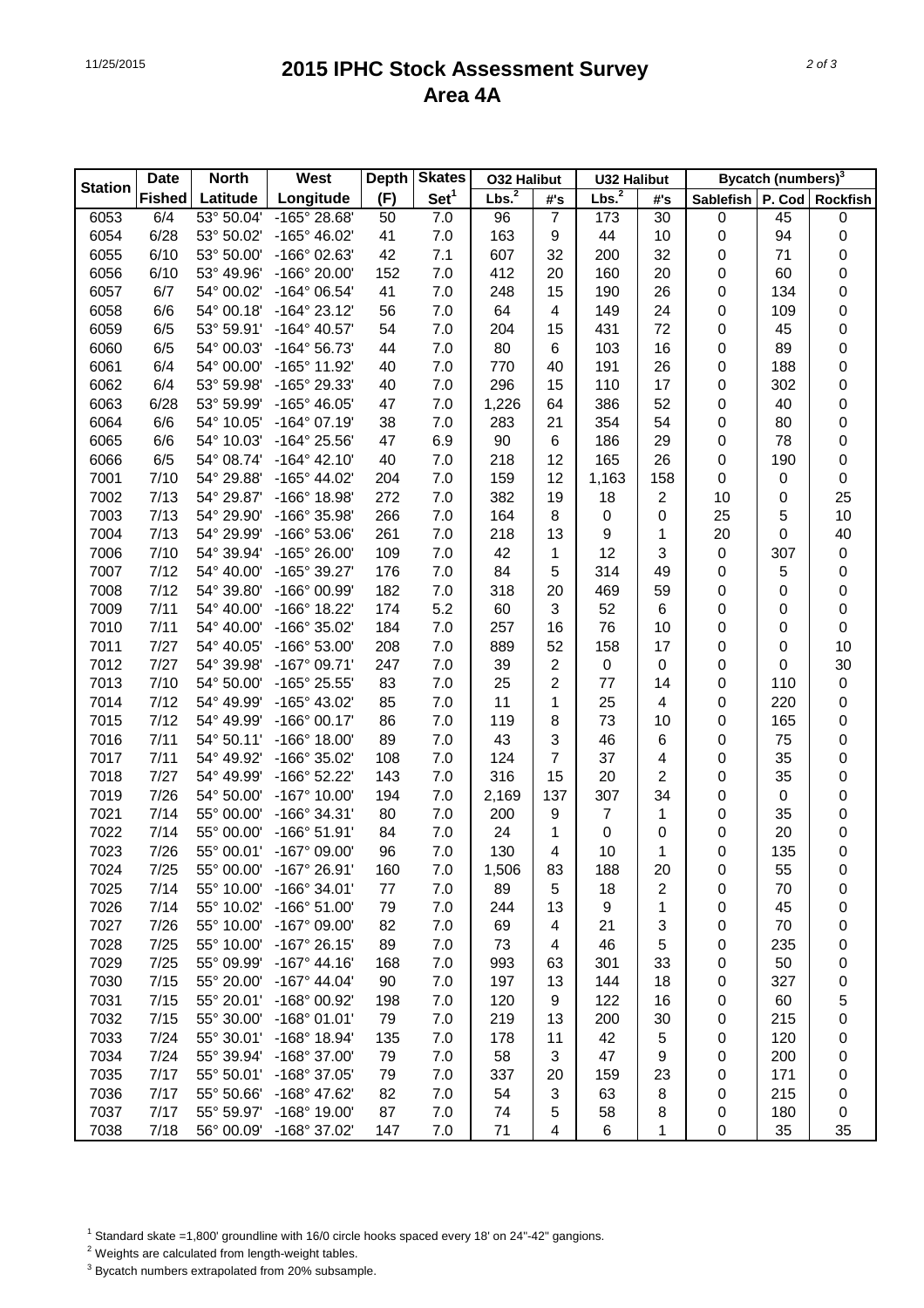## 11/25/2015 **2015 IPHC Stock Assessment Survey Area 4A**

|                | <b>Date</b>   | <b>North</b> | West                  | <b>Depth</b> | <b>Skates</b>    | <b>032 Halibut</b> |                | <b>U32 Halibut</b> |                |                  | <b>Bycatch (numbers)</b> <sup>3</sup> |                 |
|----------------|---------------|--------------|-----------------------|--------------|------------------|--------------------|----------------|--------------------|----------------|------------------|---------------------------------------|-----------------|
| <b>Station</b> | <b>Fished</b> | Latitude     | Longitude             | (F)          | Set <sup>1</sup> | Lbs. <sup>2</sup>  | #'s            | Lbs. <sup>2</sup>  | #'s            | <b>Sablefish</b> |                                       | P. Cod Rockfish |
| 6053           | 6/4           | 53° 50.04'   | -165° 28.68'          | 50           | 7.0              | 96                 | $\overline{7}$ | 173                | 30             | $\pmb{0}$        | 45                                    | 0               |
| 6054           | 6/28          | 53° 50.02'   | -165° 46.02'          | 41           | 7.0              | 163                | 9              | 44                 | 10             | 0                | 94                                    | 0               |
| 6055           | 6/10          | 53° 50.00'   | -166° 02.63'          | 42           | 7.1              | 607                | 32             | 200                | 32             | 0                | 71                                    | 0               |
| 6056           | 6/10          | 53° 49.96'   | -166° 20.00'          | 152          | 7.0              | 412                | 20             | 160                | 20             | 0                | 60                                    | 0               |
| 6057           | 6/7           | 54° 00.02'   | -164° 06.54'          | 41           | 7.0              | 248                | 15             | 190                | 26             | 0                | 134                                   | 0               |
| 6058           | 6/6           | 54° 00.18'   | $-164^{\circ} 23.12'$ | 56           | 7.0              | 64                 | 4              | 149                | 24             | 0                | 109                                   | 0               |
| 6059           | 6/5           | 53° 59.91'   | -164° 40.57'          | 54           | 7.0              | 204                | 15             | 431                | 72             | 0                | 45                                    | 0               |
| 6060           | 6/5           | 54° 00.03'   | $-164^{\circ} 56.73'$ | 44           | 7.0              | 80                 | 6              | 103                | 16             | 0                | 89                                    | 0               |
| 6061           | 6/4           | 54° 00.00'   | -165° 11.92'          | 40           | 7.0              | 770                | 40             | 191                | 26             | 0                | 188                                   | 0               |
| 6062           | 6/4           | 53° 59.98'   | -165° 29.33'          | 40           | 7.0              | 296                | 15             | 110                | 17             | 0                | 302                                   | 0               |
| 6063           | 6/28          | 53° 59.99'   | -165° 46.05'          | 47           | 7.0              | 1,226              | 64             | 386                | 52             | 0                | 40                                    | 0               |
| 6064           | 6/6           | 54° 10.05'   | $-164^{\circ}$ 07.19' | 38           | 7.0              | 283                | 21             | 354                | 54             | 0                | 80                                    | 0               |
| 6065           | 6/6           | 54° 10.03'   | -164° 25.56'          | 47           | 6.9              | 90                 | 6              | 186                | 29             | 0                | 78                                    | 0               |
| 6066           | 6/5           | 54° 08.74'   | $-164^{\circ}$ 42.10' | 40           | 7.0              | 218                | 12             | 165                | 26             | 0                | 190                                   | 0               |
| 7001           | 7/10          | 54° 29.88'   | -165° 44.02'          | 204          | 7.0              | 159                | 12             | 1,163              | 158            | 0                | 0                                     | 0               |
| 7002           | 7/13          | 54° 29.87'   | -166° 18.98'          | 272          | 7.0              | 382                | 19             | 18                 | $\overline{2}$ | 10               | 0                                     | 25              |
| 7003           | 7/13          | 54° 29.90'   | -166° 35.98'          | 266          | 7.0              | 164                | 8              | $\boldsymbol{0}$   | 0              | 25               | 5                                     | 10              |
| 7004           | 7/13          | 54° 29.99'   | -166° 53.06'          | 261          | 7.0              | 218                | 13             | 9                  | 1              | 20               | 0                                     | 40              |
| 7006           | 7/10          | 54° 39.94'   | -165° 26.00'          | 109          | 7.0              | 42                 | 1              | 12                 | 3              | 0                | 307                                   | $\mathbf 0$     |
| 7007           | 7/12          | 54° 40.00'   | -165° 39.27'          | 176          | 7.0              | 84                 | 5              | 314                | 49             | 0                | 5                                     | 0               |
| 7008           | 7/12          | 54° 39.80'   | -166° 00.99'          | 182          | 7.0              | 318                | 20             | 469                | 59             | 0                | 0                                     | 0               |
| 7009           | 7/11          | 54° 40.00'   | -166° 18.22'          | 174          | 5.2              | 60                 | 3              | 52                 | 6              | 0                | 0                                     | 0               |
| 7010           | 7/11          | 54° 40.00'   | -166° 35.02'          | 184          | 7.0              | 257                | 16             | 76                 | 10             | 0                | 0                                     | 0               |
| 7011           | 7/27          | 54° 40.05'   | -166° 53.00'          | 208          | 7.0              | 889                | 52             | 158                | 17             | 0                | 0                                     | 10              |
| 7012           | 7/27          | 54° 39.98'   | $-167^{\circ}$ 09.71' | 247          | 7.0              | 39                 | 2              | $\boldsymbol{0}$   | 0              | 0                | 0                                     | 30              |
| 7013           | 7/10          | 54° 50.00'   | -165° 25.55'          | 83           | 7.0              | 25                 | $\overline{2}$ | 77                 | 14             | 0                | 110                                   | $\mathbf 0$     |
| 7014           | 7/12          | 54° 49.99'   | -165° 43.02'          | 85           | 7.0              | 11                 | 1              | 25                 | 4              | 0                | 220                                   | 0               |
| 7015           | 7/12          | 54° 49.99'   | $-166°00.17'$         | 86           | 7.0              | 119                | 8              | 73                 | 10             | 0                | 165                                   | 0               |
| 7016           | 7/11          | 54° 50.11'   | $-166^{\circ}$ 18.00' | 89           | 7.0              | 43                 | 3              | 46                 | 6              | 0                | 75                                    | 0               |
| 7017           | 7/11          | 54° 49.92'   | -166° 35.02'          | 108          | 7.0              | 124                | $\overline{7}$ | 37                 | 4              | 0                | 35                                    | 0               |
| 7018           | 7/27          | 54° 49.99'   | -166° 52.22'          | 143          | 7.0              | 316                | 15             | 20                 | 2              | 0                | 35                                    | 0               |
| 7019           | 7/26          | 54° 50.00'   | $-167^{\circ}$ 10.00' | 194          | 7.0              | 2,169              | 137            | 307                | 34             | 0                | 0                                     | 0               |
| 7021           | 7/14          | 55° 00.00'   | -166° 34.31'          | 80           | 7.0              | 200                | 9              | $\overline{7}$     | 1              | 0                | 35                                    | 0               |
| 7022           | 7/14          | 55° 00.00'   | $-166°51.91'$         | 84           | 7.0              | 24                 | 1              | 0                  | 0              | 0                | 20                                    | 0               |
| 7023           | 7/26          | 55° 00.01'   | -167° 09.00'          | 96           | 7.0              | 130                | 4              | 10                 | 1              | 0                | 135                                   | 0               |
| 7024           | 7/25          | 55° 00.00'   | -167° 26.91'          | 160          | 7.0              | 1,506              | 83             | 188                | 20             | 0                | 55                                    | 0               |
| 7025           | 7/14          | 55° 10.00'   | $-166°34.01'$         | 77           | 7.0              | 89                 | 5              | 18                 | 2              | 0                | 70                                    | 0               |
| 7026           | 7/14          | 55° 10.02'   | $-166^{\circ} 51.00'$ | 79           | 7.0              | 244                | 13             | 9                  | 1              | 0                | 45                                    | 0               |
| 7027           | 7/26          | 55° 10.00'   | -167° 09.00'          | 82           | 7.0              | 69                 | 4              | 21                 | 3              | 0                | 70                                    | 0               |
| 7028           | 7/25          | 55° 10.00'   | $-167^{\circ}$ 26.15' | 89           | 7.0              | 73                 | 4              | 46                 | 5              | 0                | 235                                   | 0               |
| 7029           | 7/25          | 55° 09.99'   | $-167^{\circ}$ 44.16' | 168          | 7.0              | 993                | 63             | 301                | 33             | 0                | 50                                    | 0               |
| 7030           | 7/15          | 55° 20.00'   | $-167^{\circ}$ 44.04' | 90           | 7.0              | 197                | 13             | 144                | 18             | 0                | 327                                   | 0               |
| 7031           | 7/15          | 55° 20.01'   | -168° 00.92'          | 198          | 7.0              | 120                | 9              | 122                | 16             | 0                | 60                                    | 5               |
| 7032           | 7/15          | 55° 30.00'   | $-168°01.01'$         | 79           | 7.0              | 219                | 13             | 200                | 30             | 0                | 215                                   | 0               |
| 7033           | 7/24          | 55° 30.01'   | -168° 18.94'          | 135          | 7.0              | 178                | 11             | 42                 | 5              | 0                | 120                                   | 0               |
| 7034           | 7/24          | 55° 39.94'   | -168° 37.00'          | 79           | 7.0              | 58                 | 3              | 47                 | 9              | 0                | 200                                   | 0               |
| 7035           | 7/17          | 55° 50.01'   | -168° 37.05'          | 79           | 7.0              | 337                | 20             | 159                | 23             | 0                | 171                                   | 0               |
| 7036           | 7/17          | 55° 50.66'   | -168° 47.62'          | 82           | 7.0              | 54                 | 3              | 63                 | 8              | 0                | 215                                   | 0               |
| 7037           | 7/17          | 55° 59.97'   | -168° 19.00'          | 87           | 7.0              | 74                 | 5              | 58                 | 8              | 0                | 180                                   | 0               |
| 7038           | 7/18          | 56° 00.09'   | -168° 37.02'          | 147          | 7.0              | 71                 | 4              | 6                  | 1              | 0                | 35                                    | 35              |

<sup>1</sup> Standard skate =1,800' groundline with 16/0 circle hooks spaced every 18' on 24"-42" gangions.

2 Weights are calculated from length-weight tables.

 $3$  Bycatch numbers extrapolated from 20% subsample.